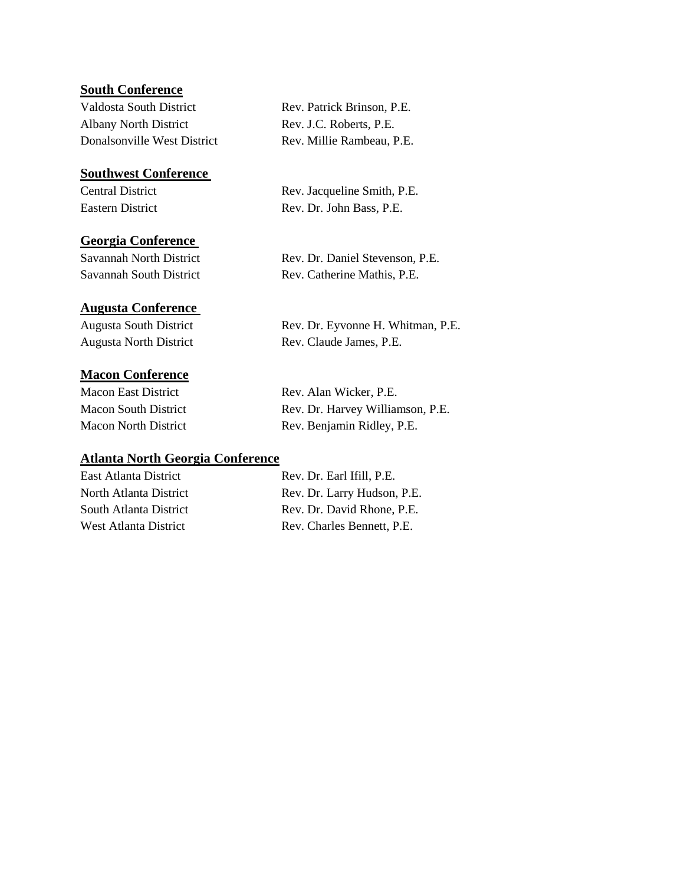## **South Conference**

Valdosta South District Rev. Patrick Brinson, P.E. Albany North District Rev. J.C. Roberts, P.E. Donalsonville West District Rev. Millie Rambeau, P.E.

#### **Southwest Conference**

#### **Georgia Conference**

## **Augusta Conference**

## **Macon Conference**

#### **Atlanta North Georgia Conference**

Central District Rev. Jacqueline Smith, P.E. Eastern District Rev. Dr. John Bass, P.E.

Savannah North District Rev. Dr. Daniel Stevenson, P.E. Savannah South District Rev. Catherine Mathis, P.E.

Augusta South District Rev. Dr. Eyvonne H. Whitman, P.E. Augusta North District Rev. Claude James, P.E.

Macon East District Rev. Alan Wicker, P.E. Macon South District Rev. Dr. Harvey Williamson, P.E. Macon North District Rev. Benjamin Ridley, P.E.

East Atlanta District Rev. Dr. Earl Ifill, P.E. North Atlanta District Rev. Dr. Larry Hudson, P.E. South Atlanta District Rev. Dr. David Rhone, P.E. West Atlanta District Rev. Charles Bennett, P.E.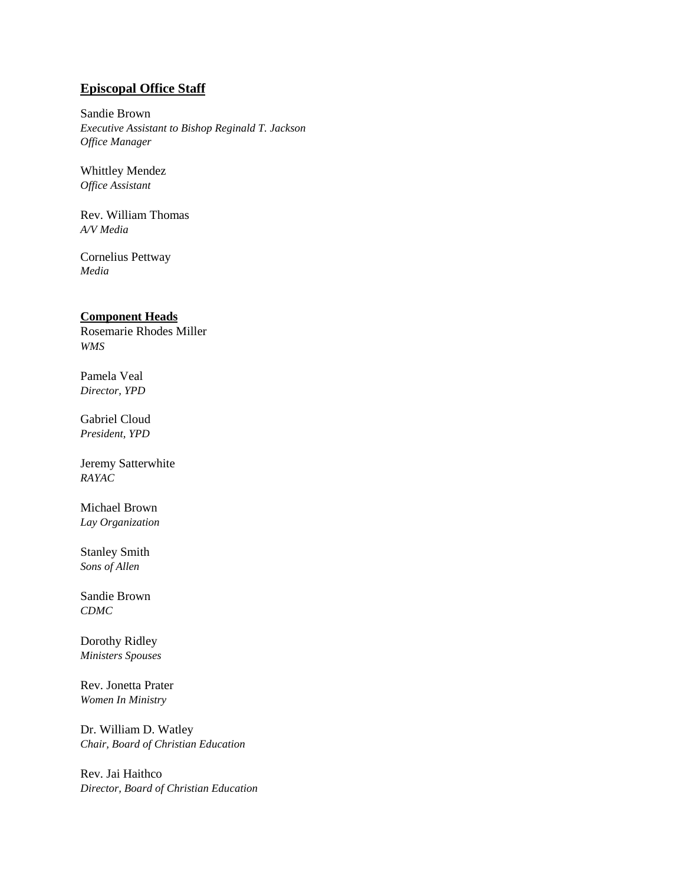## **Episcopal Office Staff**

Sandie Brown *Executive Assistant to Bishop Reginald T. Jackson Office Manager*

Whittley Mendez *Office Assistant*

Rev. William Thomas *A/V Media*

Cornelius Pettway *Media*

### **Component Heads**

Rosemarie Rhodes Miller *WMS*

Pamela Veal *Director, YPD*

Gabriel Cloud *President, YPD*

Jeremy Satterwhite *RAYAC*

Michael Brown *Lay Organization*

Stanley Smith *Sons of Allen*

Sandie Brown *CDMC*

Dorothy Ridley *Ministers Spouses*

Rev. Jonetta Prater *Women In Ministry* 

Dr. William D. Watley *Chair, Board of Christian Education*

Rev. Jai Haithco *Director, Board of Christian Education*